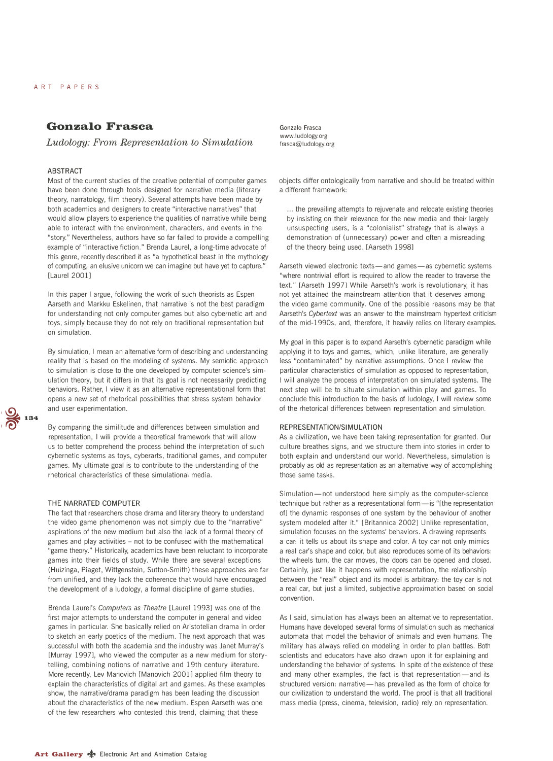# **Gonzalo Frasca**

*Ludology: From Representation to Simulation* 

## **ABSTRACT**

**9**. 134

Most of the current studies of the creative potential of computer games have been done through tools designed for narrative media (literary theory, narratology, film theory). Several attempts have been made by both academics and designers to create "interactive narratives" that would allow players to experience the qualities of narrative while being able to interact with the environment, characters, and events in the "story." Nevertheless, authors have so far failed to provide a compelling example of "interactive fiction." Brenda Laurel, a long-time advocate of this genre, recently described it as "a hypothetical beast in the mythology of computing, an elusive unicorn we can imagine but have yet to capture." [Laurel 2001]

In this paper I argue, following the work of such theorists as Espen Aarseth and Markku Eskelinen, that narrative is not the best paradigm for understanding not only computer games but also cybernetic art and toys, simply because they do not rely on traditional representation but on simulation.

By simulation, I mean an alternative form of describing and understanding reality that is based on the modeling of systems. My semiotic approach to simulation is close to the one developed by computer science's simulation theory, but it differs in that its goal is not necessarily predicting behaviors. Rather, I view it as an alternative representational form that opens a new set of rhetorical possibilities that stress system behavior and user experimentation.

By comparing the similitude and differences between simulation and representation, I will provide a theoretical framework that will allow us to better comprehend the process behind the interpretation of such cybernetic systems as toys, cyberarts, traditional games, and computer games. My ultimate goal is to contribute to the understanding of the rhetorical characteristics of these simulational media.

### THE **NARRATED COMPUTER**

The fact that researchers chose drama and literary theory to understand the video game phenomenon was not simply due to the "narrative" aspirations of the new medium but also the lack of a formal theory of games and play activities - not to be confused with the mathematical "game theory." Historically, academics have been reluctant to incorporate games into their fields of study. While there are several exceptions (Huizinga, Piaget, Wittgenstein, Sutton-Smith) these approaches are far from unified, and they lack the coherence that would have encouraged the development of a ludology, a formal discipline of game studies.

Brenda Laurel's *Computers* as *Theatre* [Laurel 1993] was one of the first major attempts to understand the computer in general and video games in particular. She basically relied on Aristotelian drama in order to sketch an early poetics of the medium. The next approach that was successful with both the academia and the industry was Janet Murray's [Murray 1997], who viewed the computer as a new medium for storytelling, combining notions of narrative and 19th century literature. More recently, Lev Manovich [Manovich 2001] applied film theory to explain the characteristics of digital art and games. As these examples show, the narrative/drama paradigm has been leading the discussion about the characteristics of the new medium. Espen Aarseth was one of the few researchers who contested this trend, claiming that these

Gonzalo Frasca www.ludology.org frasca@ludology.org

objects differ ontologically from narrative and should be treated within a different framework:

... the prevailing attempts to rejuvenate and relocate existing theories by insisting on their relevance for the new media and their largely unsuspecting users, is a "colonialist" strategy that is always a demonstration of (unnecessary) power and often a misreading of the theory being used. [Aarseth 1998]

Aarseth viewed electronic texts-and games-as cybernetic systems "where nontrivial effort is required to allow the reader to traverse the text." [Aarseth 1997] While Aarseth's work is revolutionary, it has not yet attained the mainstream attention that it deserves among the video game community. One of the possible reasons may be that Aarseth's *Cybertext* was an answer to the mainstream hypertext criticism of the mid-1990s, and, therefore, it heavily relies on literary examples.

My goal in this paper is to expand Aarseth's cybernetic paradigm while applying it to toys and games, which, unlike literature, are generally less "contaminated" by narrative assumptions. Once I review the particular characteristics of simulation as opposed to representation, I will analyze the process of interpretation on simulated systems. The next step will be to situate simulation within play and games. To conclude this introduction to the basis of ludology, I will review some of the rhetorical differences between representation and simulation.

### **REPRESENTATION/SIMULATION**

As a civilization, we have been taking representation for granted. Our culture breathes signs, and we structure them into stories in order to both explain and understand our world. Nevertheless, simulation is probably as old as representation as an alternative way of accomplishing those same tasks.

Simulation-not understood here simply as the computer-science technique but rather as a representational form-is "[the representation of] the dynamic responses of one system by the behaviour of another system modeled after it." [Britannica 2002] Unlike representation, simulation focuses on the systems' behaviors. A drawing represents a car: it tells us about its shape and color. A toy car not only mimics a real car's shape and color, but also reproduces some of its behaviors: the wheels turn, the car moves, the doors can be opened and closed. Certainly, just like it happens with representation, the relationship between the "real" object and its model is arbitrary: the toy car is not a real car, but just a limited, subjective approximation based on social convention.

As I said, simulation has always been an alternative to representation. Humans have developed several forms of simulation such as mechanical automata that model the behavior of animals and even humans. The military has always relied on modeling in order to plan battles. Both scientists and educators have also drawn upon it for explaining and understanding the behavior of systems. In spite of the existence of these and many other examples, the fact is that representation-and its structured version: narrative-has prevailed as the form of choice for our civilization to understand the world. The proof is that all traditional mass media (press, cinema, television, radio) rely on representation.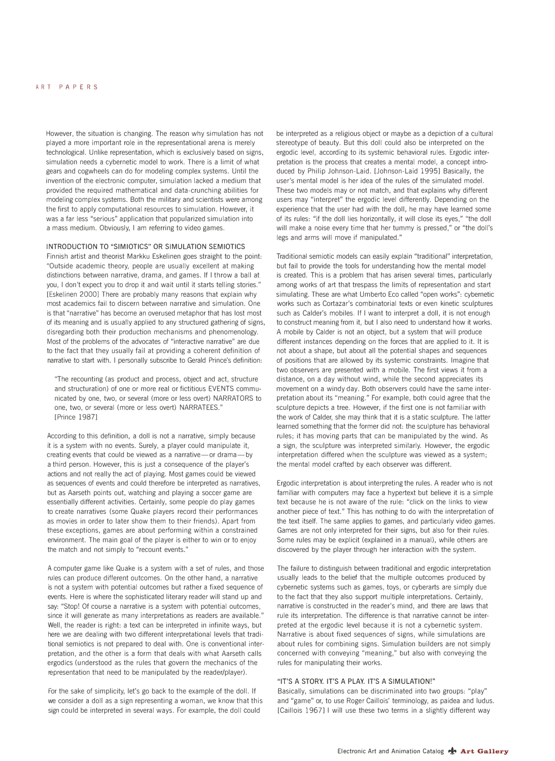However, the situation is changing. The reason why simulation has not played a more important role in the representational arena is merely technological. Unlike representation, which is exclusively based on signs, simulation needs a cybernetic model to work. There is a limit of what gears and cogwheels can do for modeling complex systems. Until the invention of the electronic computer, simulation lacked a medium that provided the required mathematical and data-crunching abilities for modeling complex systems. Both the military and scientists were among the first to apply computational resources to simulation. However, it was a far less "serious" application that popularized simulation into a mass medium. Obviously, I am referring to video games.

# **INTRODUCTION TO "SIMIOTICS" OR SIMULATION SEMIOTICS**

Finnish artist and theorist Markku Eskelinen goes straight to the point: "Outside academic theory, people are usually excellent at making distinctions between narrative, drama, and games. If I throw a ball at you, I don't expect you to drop it and wait until it starts telling stories." [Eskelinen 2000] There are probably many reasons that explain why most academics fail to discern between narrative and simulation. One is that "narrative" has become an overused metaphor that has lost most of its meaning and is usually applied to any structured gathering of signs, disregarding both their production mechanisms and phenomenology. Most of the problems of the advocates of "interactive narrative" are due to the fact that they usually fail at providing a coherent definition of narrative to start with. I personally subscribe to Gerald Prince's definition:

"The recounting (as product and process, object and act, structure and structuration) of one or more real or fictitious EVENTS communicated by one, two, or several (more or less overt) NARRATORS to one, two, or several (more or less overt) NARRATEES." [Prince 1987]

According to this definition, a doll is not a narrative, simply because it is a system with no events. Surely, a player could manipulate it, creating events that could be viewed as a narrative-or drama-by a third person. However, this is just a consequence of the player's actions and not really the act of playing. Most games could be viewed as sequences of events and could therefore be interpreted as narratives, but as Aarseth points out, watching and playing a soccer game are essentially different activities. Certainly, some people do play games to create narratives (some Quake players record their performances as movies in order to later show them to their friends). Apart from these exceptions, games are about performing within a constrained environment. The main goal of the player is either to win or to enjoy the match and not simply to "recount events."

A computer game like Quake is a system with a set of rules, and those rules can produce different outcomes. On the other hand, a narrative is not a system with potential outcomes but rather a fixed sequence of events. Here is where the sophisticated literary reader will stand up and say: "Stop! Of course a narrative is a system with potential outcomes, since it will generate as many interpretations as readers are available." Well, the reader is right: a text can be interpreted in infinite ways, but here we are dealing with two different interpretational levels that traditional semiotics is not prepared to deal with. One is conventional interpretation, and the other is a form that deals with what Aarseth calls ergodics (understood as the rules that govern the mechanics of the representation that need to be manipulated by the reader/player).

For the sake of simplicity, let's go back to the example of the doll. If we consider a doll as a sign representing a woman, we know that this sign could be interpreted in several ways. For example, the doll could

be interpreted as a religious object or maybe as a depiction of a cultural stereotype of beauty. But this doll could also be interpreted on the ergodic level, according to its systemic behavioral rules. Ergodic interpretation is the process that creates a mental model, a concept introduced by Philip Johnson-Laid. [Johnson-Laid 1995] Basically, the user's mental model is her idea of the rules of the simulated model. These two models may or not match, and that explains why different users may "interpret" the ergodic level differently. Depending on the experience that the user had with the doll, he may have learned some of its rules: "if the doll lies horizontally, it will close its eyes," "the doll will make a noise every time that her tummy is pressed," or "the doll's legs and arms will move if manipulated."

Traditional semiotic models can easily explain "traditional" interpretation, but fail to provide the tools for understanding how the mental model is created. This is a problem that has arisen several times, particularly among works of art that trespass the limits of representation and start simulating. These are what Umberto Eco called "open works": cybernetic works such as Cortazar's combinatorial texts or even kinetic sculptures such as Calder's mobiles. If I want to interpret a doll, it is not enough to construct meaning from it, but I also need to understand how it works. A mobile by Calder is not an object, but a system that will produce different instances depending on the forces that are applied to it. It is not about a shape, but about all the potential shapes and sequences of positions that are allowed by its systemic constraints. Imagine that two observers are presented with a mobile. The first views it from a distance, on a day without wind, while the second appreciates its movement on a windy day. Both observers could have the same interpretation about its "meaning." For example, both could agree that the sculpture depicts a tree. However, if the first one is not familiar with the work of Calder, she may think that it is a static sculpture. The latter learned something that the former did not: the sculpture has behavioral rules; it has moving parts that can be manipulated by the wind. As a sign, the sculpture was interpreted similarly. However, the ergodic interpretation differed when the sculpture was viewed as a system; the mental model crafted by each observer was different.

Ergodic interpretation is about interpreting the rules. A reader who is not familiar with computers may face a hypertext but believe it is a simple text because he is not aware of the rule: "click on the links to view another piece of text." This has nothing to do with the interpretation of the text itself. The same applies to games, and particularly video games. Games are not only interpreted for their signs, but also for their rules. Some rules may be explicit (explained in a manual), while others are discovered by the player through her interaction with the system.

The failure to distinguish between traditional and ergodic interpretation usually leads to the belief that the multiple outcomes produced by cybernetic systems such as games, toys, or cyberarts are simply due to the fact that they also support multiple interpretations. Certainly, narrative is constructed in the reader's mind, and there are laws that rule its interpretation. The difference is that narrative cannot be interpreted at the ergodic level because it is not a cybernetic system. Narrative is about fixed sequences of signs, while simulations are about rules for combining signs. Simulation builders are not simply concerned with conveying "meaning," but also with conveying the rules for manipulating their works.

#### **"IT'S A STORY. IT'S A PLAY. IT'S A SIMULATION!"**

Basically, simulations can be discriminated into two groups: "play" and "game" or, to use Roger Caillois' terminology, as paidea and ludus. [Caillois 1967] I will use these two terms in a slightly different way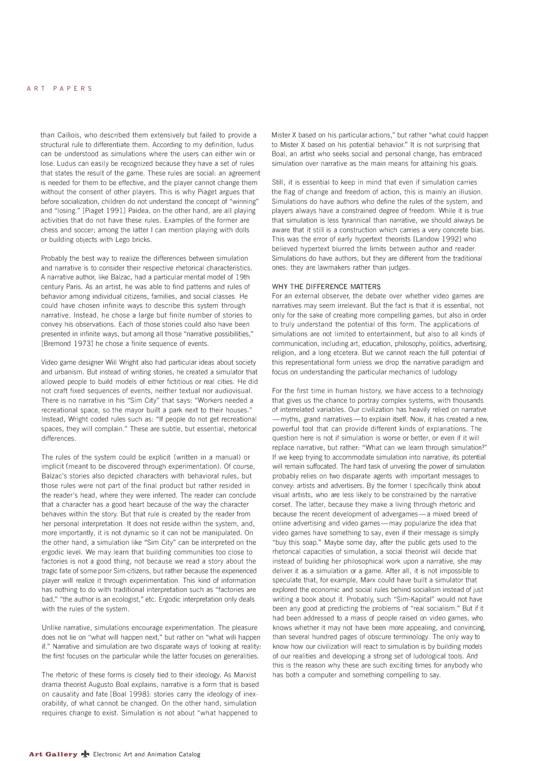than Caillois, who described them extensively but failed to provide a structural rule to differentiate them. According to my definition, ludus can be understood as simulations where the users can either win or lose. Ludus can easily be recognized because they have a set of rules that states the result of the game. These rules are social: an agreement is needed for them to be effective, and the player cannot change them without the consent of other players. This is why Piaget argues that before socialization, children do not understand the concept of "winning" and "losing." [Piaget 1991] Paidea, on the other hand, are all playing activities that do not have these rules. Examples of the former are chess and soccer; among the latter I can mention playing with dolls or building objects with Lego bricks.

Probably the best way to realize the differences between simulation and narrative is to consider their respective rhetorical characteristics. A narrative author, like Balzac, had a particular mental model of 19th century Paris. As an artist, he was able to find patterns and rules of behavior among individual citizens, families, and social classes. He could have chosen infinite ways to describe this system through narrative. Instead, he chose a large but finite number of stories to convey his observations. Each of those stories could also have been presented in infinite ways, but among all those "narrative possibilities," [Bremond 1973] he chose a finite sequence of events.

Video game designer Will Wright also had particular ideas about society and urbanism. But instead of writing stories, he created a simulator that allowed people to build models of either fictitious or real cities. He did not craft fixed sequences of events, neither textual nor audiovisual. There is no narrative in his "Sim City" that says: "Workers needed a recreational space, so the mayor built a park next to their houses." Instead, Wright coded rules such as: "If people do not get recreational spaces, they will complain." These are subtle, but essential, rhetorical differences.

The rules of the system could be explicit (written in a manual) or implicit (meant to be discovered through experimentation). Of course, Balzac's stories also depicted characters with behavioral rules, but those rules were not part of the final product but rather resided in the reader's head, where they were inferred. The reader can conclude that a character has a good heart because of the way the character behaves within the story. But that rule is created by the reader from her personal interpretation. It does not reside within the system, and, more importantly, it is not dynamic so it can not be manipulated. On the other hand, a simulation like "Sim City" can be interpreted on the ergodic level. We may learn that building communities too close to factories is not a good thing, not because we read a story about the tragic fate of some poor Sim-citizens, but rather because the experienced player will realize it through experimentation. This kind of information has nothing to do with traditional interpretation such as "factories are bad," "the author is an ecologist," etc. Ergodic interpretation only deals with the rules of the system.

Unlike narrative, simulations encourage experimentation. The pleasure does not lie on "what will happen next," but rather on "what will happen if." Narrative and simulation are two disparate ways of looking at reality: the first focuses on the particular while the latter focuses on generalities.

The rhetoric of these forms is closely tied to their ideology. As Marxist drama theorist Augusto Boal explains, narrative is a form that is based on causality and fate [Boal 1998]: stories carry the ideology of inexorability, of what cannot be changed. On the other hand, simulation requires change to exist. Simulation is not about "what happened to

Mister X based on his particular actions," but rather "what could happen to Mister X based on his potential behavior." It is not surprising that Boal, an artist who seeks social and personal change, has embraced simulation over narrative as the main means for attaining his goals.

Still, it is essential to keep in mind that even if simulation carries the flag of change and freedom of action, this is mainly an illusion. Simulations do have authors who define the rules of the system, and players always have a constrained degree of freedom. While it is true that simulation is less tyrannical than narrative, we should always be aware that it still is a construction which carries a very concrete bias. This was the error of early hypertext theorists [Landow 1992] who believed hypertext blurred the limits between author and reader. Simulations do have authors, but they are different from the traditional ones: they are lawmakers rather than judges.

### WHY THE DIFFERENCE MATTERS

For an external observer, the debate over whether video games are narratives may seem irrelevant. But the fact is that it is essential, not only for the sake of creating more compelling games, but also in order to truly understand the potential of this form. The applications of simulations are not limited to entertainment, but also to all kinds of communication, including art, education, philosophy, politics, advertising, religion, and a long etcetera. But we cannot reach the full potential of this representational form unless we drop the narrative paradigm and focus on understanding the particular mechanics of ludology.

For the first time in human history, we have access to a technology that gives us the chance to portray complex systems, with thousands of interrelated variables. Our civilization has heavily relied on narrative -myths, grand narratives-to explain itself. Now, it has created a new, powerful tool that can provide different kinds of explanations. The question here is not if simulation is worse or better, or even if it will replace narrative, but rather: "What can we learn through simulation?" If we keep trying to accommodate simulation into narrative, its potential will remain suffocated. The hard task of unveiling the power of simulation probably relies on two disparate agents with important messages to convey: artists and advertisers. By the former I specifically think about visual artists, who are less likely to be constrained by the narrative corset. The latter, because they make a living through rhetoric and because the recent development of advergames-a mixed breed of online advertising and video games-may popularize the idea that video games have something to say, even if their message is simply "buy this soap." Maybe some day, after the public gets used to the rhetorical capacities of simulation, a social theorist will decide that instead of building her philosophical work upon a narrative, she may deliver it as a simulation or a game. After all, it is not impossible to speculate that, for example, Marx could have built a simulator that explored the economic and social rules behind socialism instead of just writing a book about it. Probably, such "Sim-Kapital" would not have been any good at predicting the problems of "real socialism." But if it had been addressed to a mass of people raised on video games, who knows whether it may not have been more appealing, and convincing, than several hundred pages of obscure terminology. The only way to know how our civilization will react to simulation is by building models of our realities and developing a strong set of ludological tools. And this is the reason why these are such exciting times for anybody who has both a computer and something compelling to say.